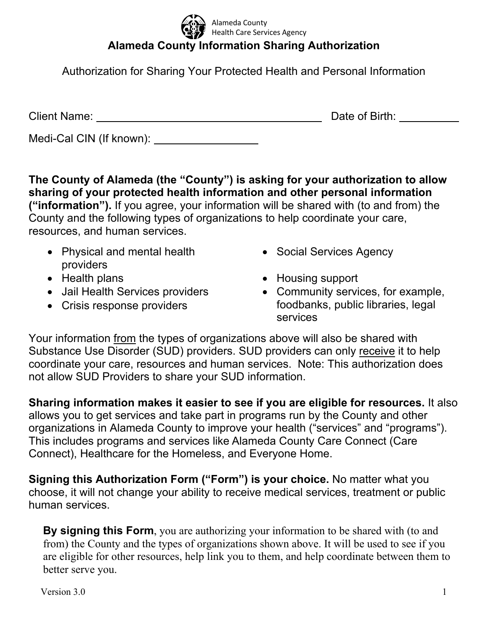**Alameda County Information Sharing Authorization**  Alameda County Health Care Services Agency

Authorization for Sharing Your Protected Health and Personal Information

Client Name: Date of Birth:

Medi-Cal CIN (If known): \_\_\_\_\_

**The County of Alameda (the "County") is asking for your authorization to allow sharing of your protected health information and other personal information ("information").** If you agree, your information will be shared with (to and from) the County and the following types of organizations to help coordinate your care, resources, and human services.

- Physical and mental health providers
- 
- Jail Health Services providers
- Crisis response providers
- Social Services Agency
- Health plans **Housing support** 
	- Community services, for example, foodbanks, public libraries, legal services

Your information from the types of organizations above will also be shared with Substance Use Disorder (SUD) providers. SUD providers can only receive it to help coordinate your care, resources and human services. Note: This authorization does not allow SUD Providers to share your SUD information.

**Sharing information makes it easier to see if you are eligible for resources.** It also allows you to get services and take part in programs run by the County and other organizations in Alameda County to improve your health ("services" and "programs"). This includes programs and services like Alameda County Care Connect (Care Connect), Healthcare for the Homeless, and Everyone Home.

**Signing this Authorization Form ("Form") is your choice.** No matter what you choose, it will not change your ability to receive medical services, treatment or public human services.

**By signing this Form**, you are authorizing your information to be shared with (to and from) the County and the types of organizations shown above. It will be used to see if you are eligible for other resources, help link you to them, and help coordinate between them to better serve you.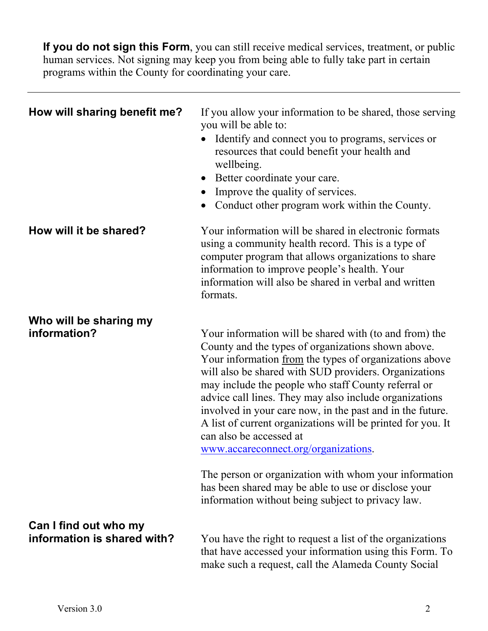**If you do not sign this Form**, you can still receive medical services, treatment, or public human services. Not signing may keep you from being able to fully take part in certain programs within the County for coordinating your care.

| How will sharing benefit me?                         | If you allow your information to be shared, those serving<br>you will be able to:<br>Identify and connect you to programs, services or<br>resources that could benefit your health and<br>wellbeing.<br>Better coordinate your care.<br>Improve the quality of services.<br>Conduct other program work within the County.                                                                                                                                                                                                                                                                                                                                                                                            |
|------------------------------------------------------|----------------------------------------------------------------------------------------------------------------------------------------------------------------------------------------------------------------------------------------------------------------------------------------------------------------------------------------------------------------------------------------------------------------------------------------------------------------------------------------------------------------------------------------------------------------------------------------------------------------------------------------------------------------------------------------------------------------------|
| How will it be shared?                               | Your information will be shared in electronic formats<br>using a community health record. This is a type of<br>computer program that allows organizations to share<br>information to improve people's health. Your<br>information will also be shared in verbal and written<br>formats.                                                                                                                                                                                                                                                                                                                                                                                                                              |
| Who will be sharing my<br>information?               | Your information will be shared with (to and from) the<br>County and the types of organizations shown above.<br>Your information from the types of organizations above<br>will also be shared with SUD providers. Organizations<br>may include the people who staff County referral or<br>advice call lines. They may also include organizations<br>involved in your care now, in the past and in the future.<br>A list of current organizations will be printed for you. It<br>can also be accessed at<br>www.accareconnect.org/organizations.<br>The person or organization with whom your information<br>has been shared may be able to use or disclose your<br>information without being subject to privacy law. |
| Can I find out who my<br>information is shared with? | You have the right to request a list of the organizations<br>that have accessed your information using this Form. To<br>make such a request, call the Alameda County Social                                                                                                                                                                                                                                                                                                                                                                                                                                                                                                                                          |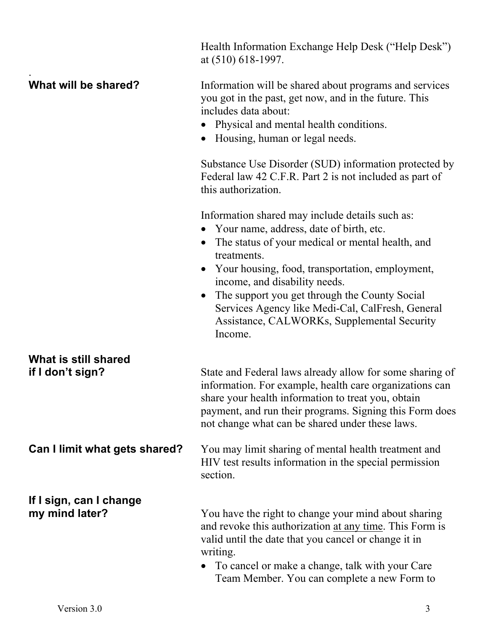Health Information Exchange Help Desk ("Help Desk") at (510) 618-1997. . **What will be shared?** Information will be shared about programs and services you got in the past, get now, and in the future. This includes data about: • Physical and mental health conditions. • Housing, human or legal needs. Substance Use Disorder (SUD) information protected by Federal law 42 C.F.R. Part 2 is not included as part of this authorization. Information shared may include details such as: Your name, address, date of birth, etc. • The status of your medical or mental health, and treatments. Your housing, food, transportation, employment, income, and disability needs. • The support you get through the County Social Services Agency like Medi-Cal, CalFresh, General Assistance, CALWORKs, Supplemental Security Income. **What is still shared if I don't sign?** State and Federal laws already allow for some sharing of information. For example, health care organizations can share your health information to treat you, obtain payment, and run their programs. Signing this Form does not change what can be shared under these laws. **Can I limit what gets shared?** You may limit sharing of mental health treatment and HIV test results information in the special permission section. **If I sign, can I change my mind later?** You have the right to change your mind about sharing and revoke this authorization at any time. This Form is valid until the date that you cancel or change it in writing. • To cancel or make a change, talk with your Care Team Member. You can complete a new Form to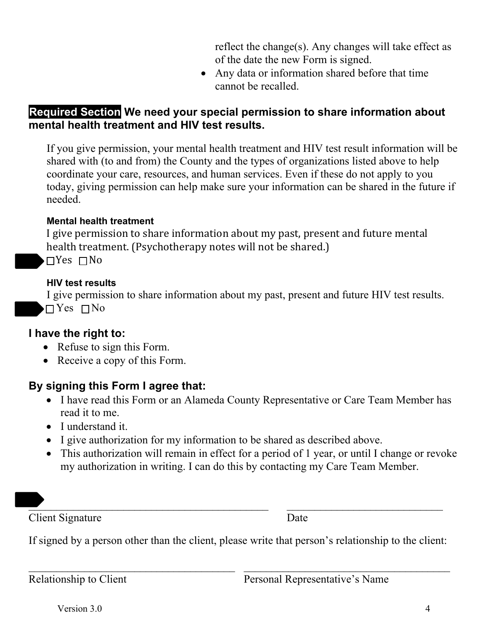reflect the change(s). Any changes will take effect as of the date the new Form is signed.

 Any data or information shared before that time cannot be recalled.

## **Required Section We need your special permission to share information about mental health treatment and HIV test results.**

If you give permission, your mental health treatment and HIV test result information will be shared with (to and from) the County and the types of organizations listed above to help coordinate your care, resources, and human services. Even if these do not apply to you today, giving permission can help make sure your information can be shared in the future if needed.

#### **Mental health treatment**

I give permission to share information about my past, present and future mental health treatment. (Psychotherapy notes will not be shared.)

 $\Box$  Yes  $\Box$  No

### **HIV test results**

I give permission to share information about my past, present and future HIV test results.  $\Box$  Yes  $\Box$  No

## **I have the right to:**

- Refuse to sign this Form.
- Receive a copy of this Form.

# **By signing this Form I agree that:**

- I have read this Form or an Alameda County Representative or Care Team Member has read it to me.
- I understand it.
- I give authorization for my information to be shared as described above.
- This authorization will remain in effect for a period of 1 year, or until I change or revoke my authorization in writing. I can do this by contacting my Care Team Member.

 $\mathcal{L}_\text{max}$  and  $\mathcal{L}_\text{max}$  and  $\mathcal{L}_\text{max}$  and  $\mathcal{L}_\text{max}$  and  $\mathcal{L}_\text{max}$  and  $\mathcal{L}_\text{max}$ 

**Client Signature** Date

If signed by a person other than the client, please write that person's relationship to the client:

Relationship to Client Personal Representative's Name